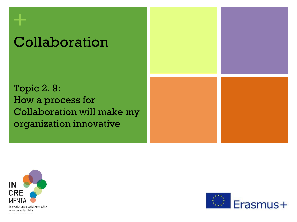# Collaboration

Topic 2. 9: How a process for Collaboration will make my organization innovative





**+**

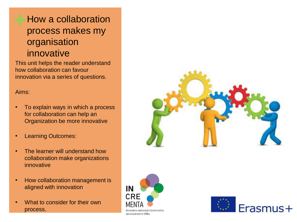### **+**How a collaboration process makes my organisation innovative

This unit helps the reader understand how collaboration can favour innovation via a series of questions.

Aims:

- To explain ways in which a process for collaboration can help an Organization be more innovative
- **Learning Outcomes:**
- The learner will understand how collaboration make organizations innovative
- How collaboration management is aligned with innovation
- What to consider for their own process.





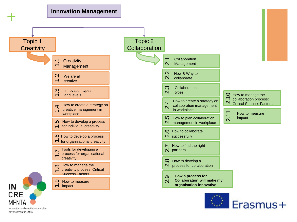

Innovation and creativity mentality advancement in SMEs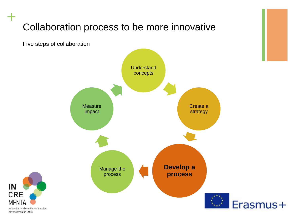### Collaboration process to be more innovative

Five steps of collaboration

**+**

IN

**CRE** 

Innovation and creativity mentality advancement in SMEs

**MFN** 

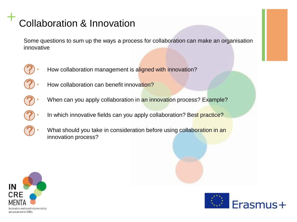Some questions to sum up the ways a process for collaboration can make an organisation innovative



- How collaboration management is aligned with innovation?
- How collaboration can benefit innovation?
- - When can you apply collaboration in an innovation process? Example?
	- In which innovative fields can you apply collaboration? Best practice?
	- What should you take in consideration before using collaboration in an innovation process?



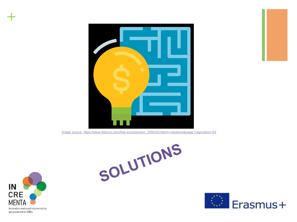

[Image source: https://www.flaticon.com/free-icon/solution\\_2090291#term=solutions&page=1&position=54](https://www.flaticon.com/free-icon/solution_2090291#term=solutions&page=1&position=54)

SOLUTIONS



**+**

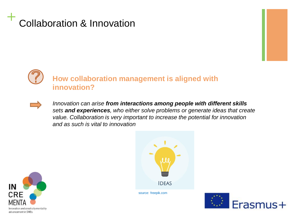### **How collaboration management is aligned with innovation?**



*Innovation can arise from interactions among people with different skills sets and experiences, who either solve problems or generate ideas that create value. Collaboration is very important to increase the potential for innovation and as such is vital to innovation*





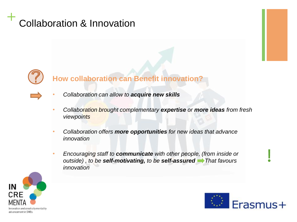

#### **How collaboration can Benefit innovation?**

- *Collaboration can allow to acquire new skills*
- *Collaboration brought complementary expertise or more ideas from fresh viewpoints*
- *Collaboration offers more opportunities for new ideas that advance innovation*
- *Encouraging staff to communicate with other people, (from inside or outside) , to be self-motivating, to be self-assured That favours innovation*



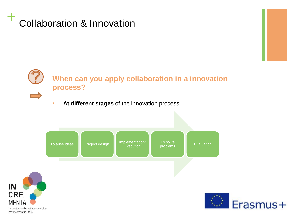IN

advancement in SMEs



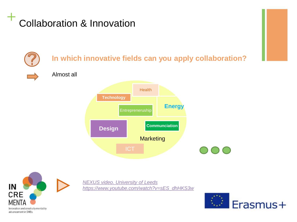



*[NEXUS video. University](https://www.youtube.com/watch?v=sES_dhHKS3w) of Leeds [https://www.youtube.com/watch?v=sES\\_dhHKS3w](https://www.youtube.com/watch?v=sES_dhHKS3w)*

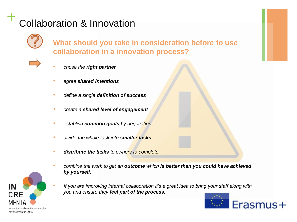

**What should you take in consideration before to use collaboration in a innovation process?**



- *chose the right partner*
- *agree shared intentions*
- *define a single definition of success*
- *create a shared level of engagement*
- *establish common goals by negotiation*
- *divide the whole task into smaller tasks*
- *distribute the tasks to owners to complete*
- *combine the work to get an outcome which is better than you could have achieved by yourself.*
- *If you are improving internal collaboration it's a great idea to bring your staff along with you and ensure they feel part of the process.*